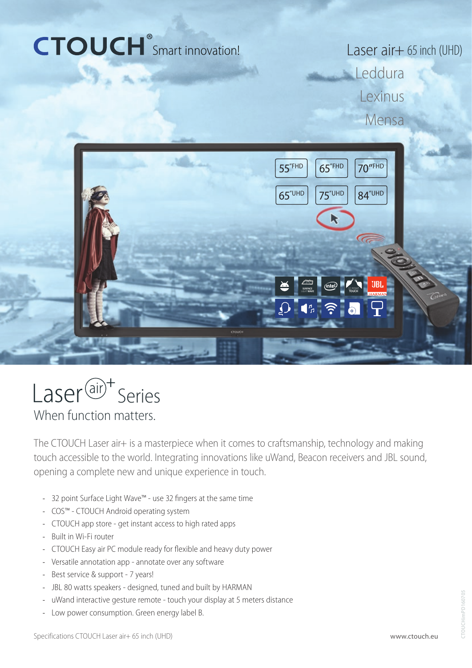# CTOUCH<sup>®</sup>Smart innovation!

Laser air+ 65 inch (UHD) **Leddura** Lexinus Mensa





When function matters.

The CTOUCH Laser air+ is a masterpiece when it comes to craftsmanship, technology and making touch accessible to the world. Integrating innovations like uWand, Beacon receivers and JBL sound, opening a complete new and unique experience in touch.

- 32 point Surface Light Wave™ use 32 fingers at the same time
- COS™ CTOUCH Android operating system
- CTOUCH app store get instant access to high rated apps
- Built in Wi-Fi router
- CTOUCH Easy air PC module ready for flexible and heavy duty power
- Versatile annotation app annotate over any software
- Best service & support 7 years!
- JBL 80 watts speakers designed, tuned and built by HARMAN
- uWand interactive gesture remote touch your display at 5 meters distance
- Low power consumption. Green energy label B.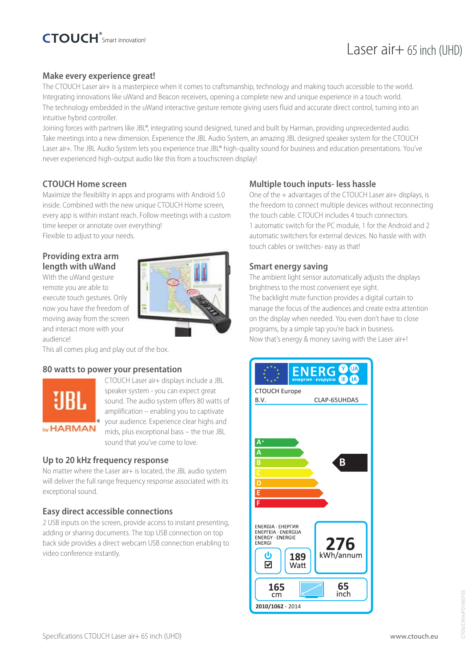# Laser  $air+ 65$  inch (UHD)

# **Make every experience great!**

The CTOUCH Laser air+ is a masterpiece when it comes to craftsmanship, technology and making touch accessible to the world. Integrating innovations like uWand and Beacon receivers, opening a complete new and unique experience in a touch world. The technology embedded in the uWand interactive gesture remote giving users fluid and accurate direct control, turning into an intuitive hybrid controller.

Joining forces with partners like JBL®, integrating sound designed, tuned and built by Harman, providing unprecedented audio. Take meetings into a new dimension. Experience the JBL Audio System, an amazing JBL designed speaker system for the CTOUCH Laser air+. The JBL Audio System lets you experience true JBL® high-quality sound for business and education presentations. You've never experienced high-output audio like this from a touchscreen display!

# **CTOUCH Home screen**

Maximize the flexiblilty in apps and programs with Android 5.0 inside. Combined with the new unique CTOUCH Home screen, every app is within instant reach. Follow meetings with a custom time keeper or annotate over everything! Flexible to adjust to your needs.

## **Providing extra arm length with uWand**

With the uWand gesture remote you are able to execute touch gestures. Only now you have the freedom of moving away from the screen and interact more with your audience!

This all comes plug and play out of the box.

### **80 watts to power your presentation**



CTOUCH Laser air+ displays include a JBL speaker system - you can expect great sound. The audio system offers 80 watts of amplification – enabling you to captivate your audience. Experience clear highs and mids, plus exceptional bass – the true JBL sound that you've come to love.

### **Up to 20 kHz frequency response**

No matter where the Laser air+ is located, the JBL audio system will deliver the full range frequency response associated with its exceptional sound.

### **Easy direct accessible connections**

2 USB inputs on the screen, provide access to instant presenting, adding or sharing documents. The top USB connection on top back side provides a direct webcam USB connection enabling to video conference instantly.

# **Multiple touch inputs- less hassle**

One of the + advantages of the CTOUCH Laser air+ displays, is the freedom to connect multiple devices without reconnecting the touch cable. CTOUCH includes 4 touch connectors. 1 automatic switch for the PC module, 1 for the Android and 2 automatic switchers for external devices. No hassle with with touch cables or switches- easy as that!

# **Smart energy saving**

The ambient light sensor automatically adjusts the displays brightness to the most convenient eye sight. The backlight mute function provides a digital curtain to manage the focus of the audiences and create extra attention on the display when needed. You even don't have to close programs, by a simple tap you're back in business. Now that's energy & money saving with the Laser air+!

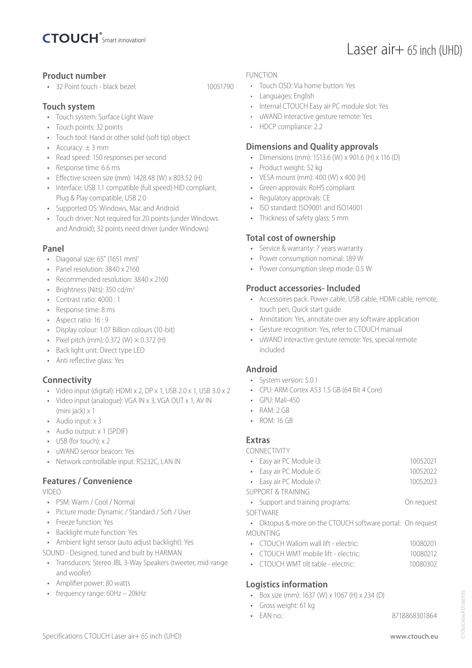

# **Product number**

• 32 Point touch - black bezel: 10051790

# **Touch system**

- Touch system: Surface Light Wave
- Touch points: 32 points
- Touch tool: Hand or other solid (soft tip) object
- Accuracy:  $\pm$  3 mm
- Read speed: 150 responses per second
- Response time: 6.6 ms
- Effective screen size (mm): 1428.48 (W) x 803.52 (H)
- Interface: USB 1.1 compatible (full speed) HID compliant, Plug & Play compatible, USB 2.0
- Supported OS: Windows, Mac and Android
- Touch driver: Not required for 20 points (under Windows and Android); 32 points need driver (under Windows)

# **Panel**

- Diagonal size: 65" (1651 mm)'
- Panel resolution: 3840 x 2160
- Recommended resolution: 3840 x 2160
- Brightness (Nits): 350 cd/m<sup>2</sup>
- Contrast ratio: 4000 : 1
- Response time: 8 ms
- Aspect ratio: 16 : 9
- Display colour: 1.07 Billion colours (10-bit)
- Pixel pitch (mm):  $0.372$  (W)  $\times$   $0.372$  (H)
- Back light unit: Direct type LED
- Anti reflective glass: Yes

# **Connectivity**

- Video input (digital): HDMI x 2, DP x 1, USB 2.0 x 1, USB 3.0 x 2
- Video input (analogue): VGA IN x 3, VGA OUT x 1, AV IN (mini jack) x 1
- Audio input: x 3
- Audio output: x 1 (SPDIF)
- USB (for touch) x 2
- uWAND sensor beacon: Yes
- Network controllable input: RS232C, LAN IN

# **Features / Convenience**

VIDEO

- PSM: Warm / Cool / Normal
- Picture mode: Dynamic / Standard / Soft / User
- Freeze function: Yes
- Backlight mute function: Yes
- Ambient light sensor (auto adjust backlight): Yes
- SOUND Designed, tuned and built by HARMAN
- Transducers: Stereo JBL 3-Way Speakers (tweeter, mid-range and woofer)
- Amplifier power: 80 watts
- frequency range: 60Hz 20kHz

#### FUNCTION

- Touch OSD: Via home button: Yes
- Languages: English
- Internal CTOUCH Easy air PC module slot: Yes
- uWAND interactive gesture remote: Yes
- HDCP compliance: 2.2

# **Dimensions and Quality approvals**

- Dimensions (mm): 1513.6 (W) x 901.6 (H) x 116 (D)
- Product weight: 52 kg
- VESA mount (mm): 400 (W) x 400 (H)
- Green approvals: RoHS compliant
- Regulatory approvals: CE
- ISO standard: ISO9001 and ISO14001
- Thickness of safety glass: 5 mm

### **Total cost of ownership**

- Service & warranty: 7 years warranty
- Power consumption nominal: 189 W
- Power consumption sleep mode: 0.5 W

# **Product accessories- Included**

- Accessoires pack: Power cable, USB cable, HDMI cable, remote, touch pen, Quick start guide
- Annotation: Yes, annotate over any software application
- Gesture recognition: Yes, refer to CTOUCH manual
- uWAND interactive gesture remote: Yes, special remote included

# **Android**

- System version: 5.0.1
- CPU: ARM Cortex A53 1.5 GB (64 Bit 4 Core)
- $\bullet$  GPU: Mali-450
- RAM: 2 GB
- ROM: 16 GB

# **Extras**

CONNECTIVITY

| • Easy air PC Module i3:      | 10052021 |
|-------------------------------|----------|
| • Easy air PC Module i5:      | 10052022 |
| • Easy air PC Module i7:      | 10052023 |
| <b>SUPPORT &amp; TRAINING</b> |          |
|                               |          |

• Support and training programs: On request SOFTWARE

- Oktopus & more on the CTOUCH software portal: On request MOUNTING
	- CTOUCH Wallom wall lift electric: 10080201
	- CTOUCH WMT mobile lift electric: 10080212
	- CTOUCH WMT tilt table electric: 10080302

# **Logistics information**

- Box size (mm): 1637 (W) x 1067 (H) x 234 (D)
- Gross weight: 61 kg
- EAN no.: 8718868301864

Laser air+ 65 inch (UHD)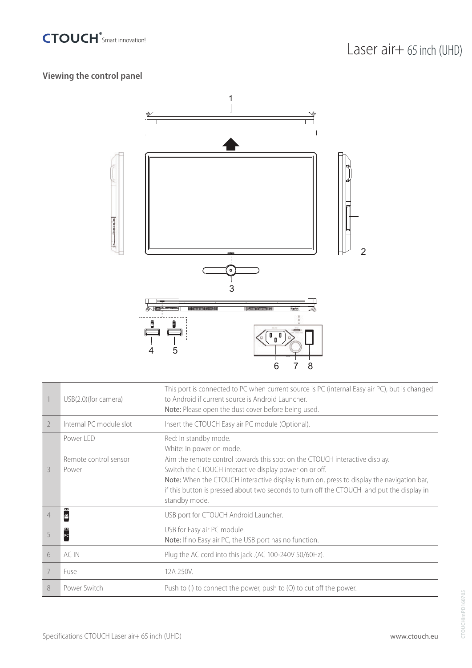

# **Viewing the control panel**



|   | USB(2.0)(for camera)                        | This port is connected to PC when current source is PC (internal Easy air PC), but is changed<br>to Android if current source is Android Launcher.<br>Note: Please open the dust cover before being used.                                                                                                                                                                                              |
|---|---------------------------------------------|--------------------------------------------------------------------------------------------------------------------------------------------------------------------------------------------------------------------------------------------------------------------------------------------------------------------------------------------------------------------------------------------------------|
| 2 | Internal PC module slot                     | Insert the CTOUCH Easy air PC module (Optional).                                                                                                                                                                                                                                                                                                                                                       |
| 3 | Power LED<br>Remote control sensor<br>Power | Red: In standby mode.<br>White: In power on mode.<br>Aim the remote control towards this spot on the CTOUCH interactive display.<br>Switch the CTOUCH interactive display power on or off.<br>Note: When the CTOUCH interactive display is turn on, press to display the navigation bar,<br>if this button is pressed about two seconds to turn off the CTOUCH and put the display in<br>standby mode. |
| 4 | ш<br>ě                                      | USB port for CTOUCH Android Launcher.                                                                                                                                                                                                                                                                                                                                                                  |
|   | PC                                          | USB for Easy air PC module.<br>Note: If no Easy air PC, the USB port has no function.                                                                                                                                                                                                                                                                                                                  |
| 6 | AC IN                                       | Plug the AC cord into this jack .(AC 100-240V 50/60Hz).                                                                                                                                                                                                                                                                                                                                                |
| 7 | Fuse                                        | 12A 250V.                                                                                                                                                                                                                                                                                                                                                                                              |
| 8 | Power Switch                                | Push to (I) to connect the power, push to (O) to cut off the power.                                                                                                                                                                                                                                                                                                                                    |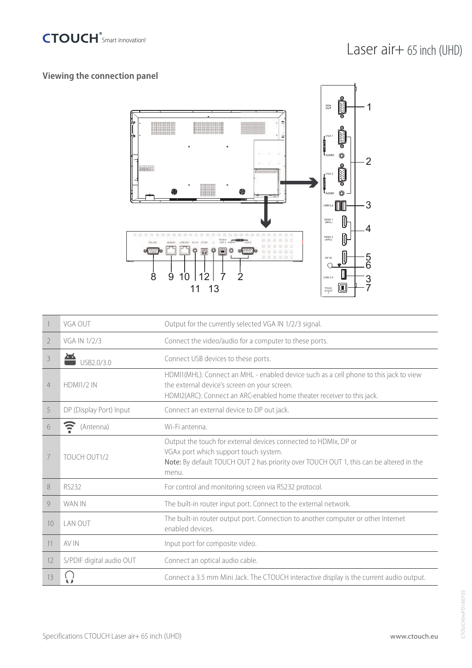

# **Viewing the connection panel**



|                | VGA OUT                  | Output for the currently selected VGA IN 1/2/3 signal.                                                                                                                                                          |
|----------------|--------------------------|-----------------------------------------------------------------------------------------------------------------------------------------------------------------------------------------------------------------|
| 2              | VGA IN 1/2/3             | Connect the video/audio for a computer to these ports.                                                                                                                                                          |
| 3              | USB2.0/3.0               | Connect USB devices to these ports.                                                                                                                                                                             |
| $\overline{4}$ | <b>HDMI1/2 IN</b>        | HDMI1(MHL): Connect an MHL - enabled device such as a cell phone to this jack to view<br>the external device's screen on your screen.<br>HDMI2(ARC): Connect an ARC-enabled home theater receiver to this jack. |
| 5              | DP (Display Port) Input  | Connect an external device to DP out jack.                                                                                                                                                                      |
| 6              | Ξ<br>(Antenna)           | Wi-Fi antenna.                                                                                                                                                                                                  |
| 7              | TOUCH OUT1/2             | Output the touch for external devices connected to HDMIx, DP or<br>VGAx port which support touch system.<br>Note: By default TOUCH OUT 2 has priority over TOUCH OUT 1, this can be altered in the<br>menu.     |
| 8              | RS232                    | For control and monitoring screen via RS232 protocol.                                                                                                                                                           |
| 9              | WAN IN                   | The built-in router input port. Connect to the external network.                                                                                                                                                |
| 10             | LAN OUT                  | The built-in router output port. Connection to another computer or other Internet<br>enabled devices                                                                                                            |
| 11             | AV IN                    | Input port for composite video.                                                                                                                                                                                 |
| 12             | S/PDIF digital audio OUT | Connect an optical audio cable.                                                                                                                                                                                 |
| 13             |                          | Connect a 3.5 mm Mini Jack. The CTOUCH interactive display is the current audio output.                                                                                                                         |